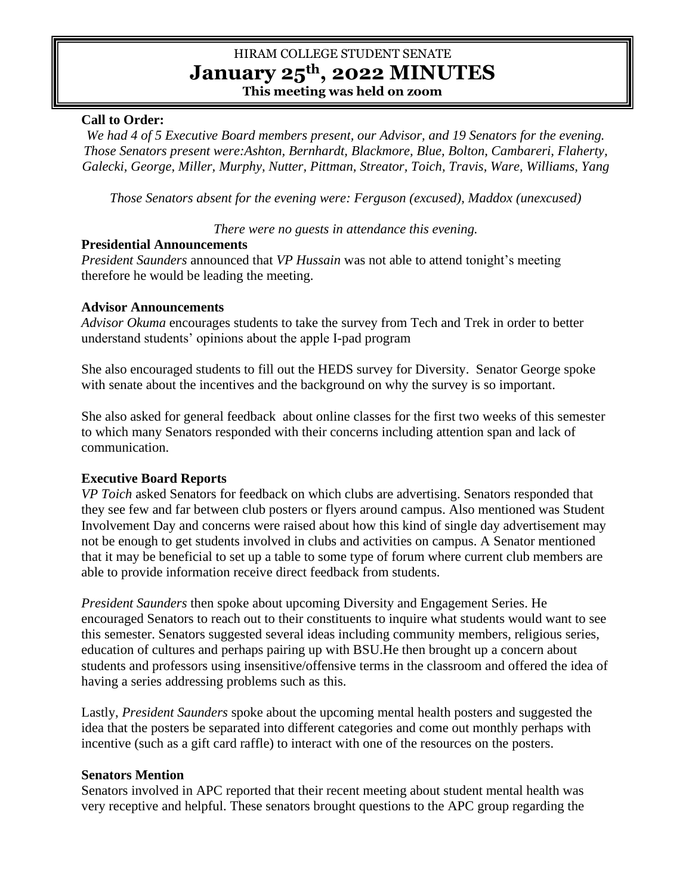# HIRAM COLLEGE STUDENT SENATE **January 25th, 2022 MINUTES This meeting was held on zoom**

# **Call to Order:**

*We had 4 of 5 Executive Board members present, our Advisor, and 19 Senators for the evening. Those Senators present were:Ashton, Bernhardt, Blackmore, Blue, Bolton, Cambareri, Flaherty, Galecki, George, Miller, Murphy, Nutter, Pittman, Streator, Toich, Travis, Ware, Williams, Yang*

*Those Senators absent for the evening were: Ferguson (excused), Maddox (unexcused)*

*There were no guests in attendance this evening.* 

### **Presidential Announcements**

*President Saunders* announced that *VP Hussain* was not able to attend tonight's meeting therefore he would be leading the meeting.

#### **Advisor Announcements**

*Advisor Okuma* encourages students to take the survey from Tech and Trek in order to better understand students' opinions about the apple I-pad program

She also encouraged students to fill out the HEDS survey for Diversity. Senator George spoke with senate about the incentives and the background on why the survey is so important.

She also asked for general feedback about online classes for the first two weeks of this semester to which many Senators responded with their concerns including attention span and lack of communication.

### **Executive Board Reports**

*VP Toich* asked Senators for feedback on which clubs are advertising. Senators responded that they see few and far between club posters or flyers around campus. Also mentioned was Student Involvement Day and concerns were raised about how this kind of single day advertisement may not be enough to get students involved in clubs and activities on campus. A Senator mentioned that it may be beneficial to set up a table to some type of forum where current club members are able to provide information receive direct feedback from students.

*President Saunders* then spoke about upcoming Diversity and Engagement Series. He encouraged Senators to reach out to their constituents to inquire what students would want to see this semester. Senators suggested several ideas including community members, religious series, education of cultures and perhaps pairing up with BSU.He then brought up a concern about students and professors using insensitive/offensive terms in the classroom and offered the idea of having a series addressing problems such as this.

Lastly, *President Saunders* spoke about the upcoming mental health posters and suggested the idea that the posters be separated into different categories and come out monthly perhaps with incentive (such as a gift card raffle) to interact with one of the resources on the posters.

### **Senators Mention**

Senators involved in APC reported that their recent meeting about student mental health was very receptive and helpful. These senators brought questions to the APC group regarding the